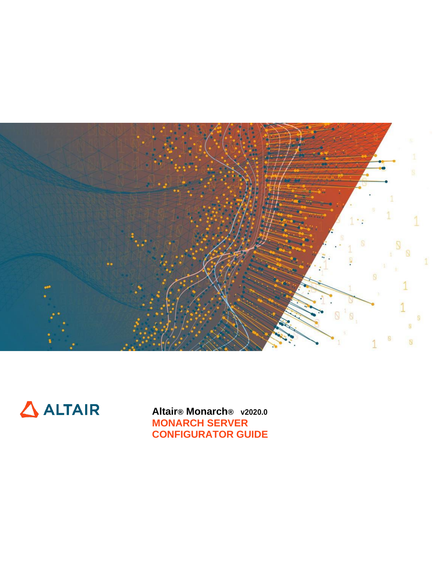



**Altair® Monarch® v2020.0 MONARCH SERVER CONFIGURATOR GUIDE**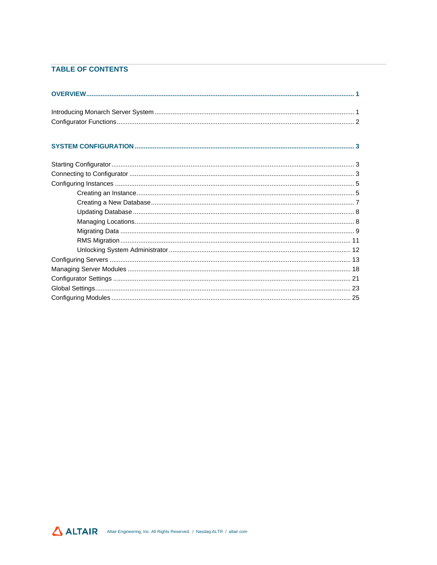### **TABLE OF CONTENTS**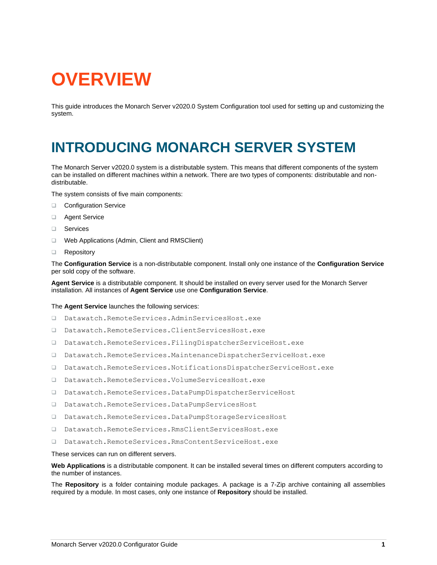# <span id="page-2-0"></span>**OVERVIEW**

This guide introduces the Monarch Server v2020.0 System Configuration tool used for setting up and customizing the system.

# <span id="page-2-1"></span>**INTRODUCING MONARCH SERVER SYSTEM**

The Monarch Server v2020.0 system is a distributable system. This means that different components of the system can be installed on different machines within a network. There are two types of components: distributable and nondistributable.

The system consists of five main components:

- ❑ Configuration Service
- ❑ Agent Service
- ❑ Services
- ❑ Web Applications (Admin, Client and RMSClient)
- ❑ Repository

The **Configuration Service** is a non-distributable component. Install only one instance of the **Configuration Service** per sold copy of the software.

**Agent Service** is a distributable component. It should be installed on every server used for the Monarch Server installation. All instances of **Agent Service** use one **Configuration Service**.

#### The **Agent Service** launches the following services:

- ❑ Datawatch.RemoteServices.AdminServicesHost.exe
- ❑ Datawatch.RemoteServices.ClientServicesHost.exe
- ❑ Datawatch.RemoteServices.FilingDispatcherServiceHost.exe
- ❑ Datawatch.RemoteServices.MaintenanceDispatcherServiceHost.exe
- ❑ Datawatch.RemoteServices.NotificationsDispatcherServiceHost.exe
- ❑ Datawatch.RemoteServices.VolumeServicesHost.exe
- ❑ Datawatch.RemoteServices.DataPumpDispatcherServiceHost
- ❑ Datawatch.RemoteServices.DataPumpServicesHost
- ❑ Datawatch.RemoteServices.DataPumpStorageServicesHost
- ❑ Datawatch.RemoteServices.RmsClientServicesHost.exe
- ❑ Datawatch.RemoteServices.RmsContentServiceHost.exe

These services can run on different servers.

**Web Applications** is a distributable component. It can be installed several times on different computers according to the number of instances.

The **Repository** is a folder containing module packages. A package is a 7-Zip archive containing all assemblies required by a module. In most cases, only one instance of **Repository** should be installed.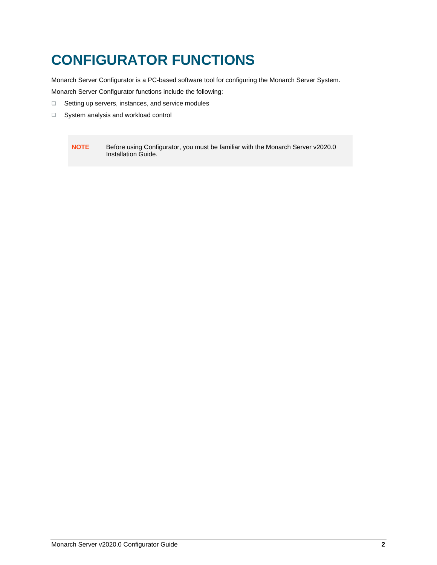# <span id="page-3-0"></span>**CONFIGURATOR FUNCTIONS**

Monarch Server Configurator is a PC-based software tool for configuring the Monarch Server System.

Monarch Server Configurator functions include the following:

- ❑ Setting up servers, instances, and service modules
- ❑ System analysis and workload control

**NOTE** Before using Configurator, you must be familiar with the Monarch Server v2020.0 Installation Guide.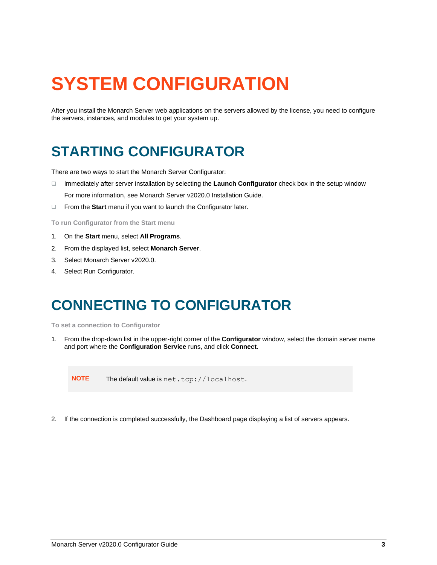# <span id="page-4-0"></span>**SYSTEM CONFIGURATION**

After you install the Monarch Server web applications on the servers allowed by the license, you need to configure the servers, instances, and modules to get your system up.

# <span id="page-4-1"></span>**STARTING CONFIGURATOR**

There are two ways to start the Monarch Server Configurator:

- ❑ Immediately after server installation by selecting the **Launch Configurator** check box in the setup window For more information, see Monarch Server v2020.0 Installation Guide.
- ❑ From the **Start** menu if you want to launch the Configurator later.

**To run Configurator from the Start menu**

- 1. On the **Start** menu, select **All Programs**.
- 2. From the displayed list, select **Monarch Server**.
- 3. Select Monarch Server v2020.0.
- <span id="page-4-2"></span>4. Select Run Configurator.

# **CONNECTING TO CONFIGURATOR**

**To set a connection to Configurator**

1. From the drop-down list in the upper-right corner of the **Configurator** window, select the domain server name and port where the **Configuration Service** runs, and click **Connect**.

**NOTE** The default value is net.tcp://localhost.

2. If the connection is completed successfully, the Dashboard page displaying a list of servers appears.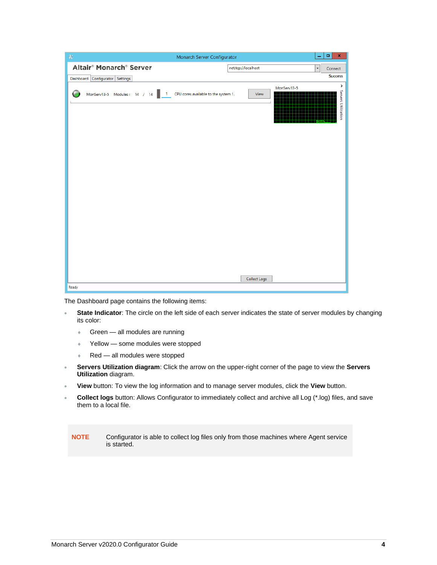| $\oplus$                                        | Monarch Server Configurator                  | $\pmb{\mathsf{x}}$<br>۰                       |
|-------------------------------------------------|----------------------------------------------|-----------------------------------------------|
| Altair <sup>®</sup> Monarch <sup>®</sup> Server | net.tcp://localhost                          | $\overline{\phantom{a}}$<br>Connect           |
| Dashboard Configurator Settings                 |                                              | <b>Success</b>                                |
| MonServ13-5 Modules: 14 / 14<br>$-1$            | CPU cores available to the system 1.<br>View | $\, \,$<br>MonServ13-5<br>Servers Utilization |
|                                                 |                                              |                                               |
|                                                 |                                              |                                               |
|                                                 |                                              |                                               |
|                                                 |                                              |                                               |
|                                                 |                                              |                                               |
|                                                 |                                              |                                               |
|                                                 |                                              |                                               |
|                                                 |                                              |                                               |
|                                                 | Collect Logs                                 |                                               |
| Ready                                           |                                              |                                               |

The Dashboard page contains the following items:

- **State Indicator**: The circle on the left side of each server indicates the state of server modules by changing its color:
	- **Green** all modules are running
	- **◆ Yellow some modules were stopped**
	- Red all modules were stopped
- **Servers Utilization diagram**: Click the arrow on the upper-right corner of the page to view the **Servers Utilization** diagram.
- **View** button: To view the log information and to manage server modules, click the **View** button.
- **Collect logs** button: Allows Configurator to immediately collect and archive all Log (\*.log) files, and save them to a local file.

**NOTE** Configurator is able to collect log files only from those machines where Agent service is started.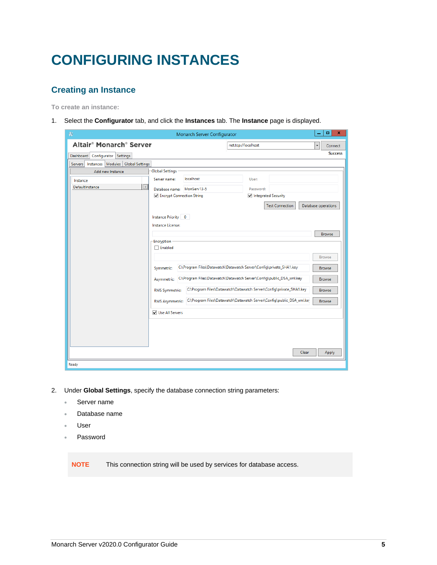# <span id="page-6-0"></span>**CONFIGURING INSTANCES**

### <span id="page-6-1"></span>**Creating an Instance**

**To create an instance:**

1. Select the **Configurator** tab, and click the **Instances** tab. The **Instance** page is displayed.

| $\Rightarrow$                                           |                            | Monarch Server Configurator |                                                                       | ۰<br>$\pmb{\mathsf{x}}$ |
|---------------------------------------------------------|----------------------------|-----------------------------|-----------------------------------------------------------------------|-------------------------|
| Altair <sup>®</sup> Monarch <sup>®</sup> Server         |                            |                             | net.tcp://localhost                                                   | Connect                 |
| Configurator Settings<br><b>Dashboard</b>               |                            |                             |                                                                       | <b>Success</b>          |
| Instances   Modules   Global Settings<br><b>Servers</b> |                            |                             |                                                                       |                         |
| Add new Instance                                        | <b>Global Settings</b>     |                             |                                                                       |                         |
| Instance                                                | Server name:               | localhost                   | User:                                                                 |                         |
| $\mathbf{x}$<br>DefaultInstance                         | Database name: MonServ13-5 |                             | Password:                                                             |                         |
|                                                         | Encrypt Connection String  |                             | Integrated Security                                                   |                         |
|                                                         |                            |                             | <b>Test Connection</b>                                                | Database operations     |
|                                                         | Instance Priority 0        |                             |                                                                       |                         |
|                                                         | Instance License:          |                             |                                                                       |                         |
|                                                         |                            |                             |                                                                       | <b>Browse</b>           |
|                                                         | -Encryption                |                             |                                                                       |                         |
|                                                         | $\Box$ Enabled             |                             |                                                                       |                         |
|                                                         |                            |                             |                                                                       | <b>Browse</b>           |
|                                                         | Symmetric:                 |                             | C:\Program Files\Datawatch\Datawatch Server\Config\private_SHA1.key   | <b>Browse</b>           |
|                                                         | Asymmetric:                |                             | C:\Program Files\Datawatch\Datawatch Server\Config\public_DSA_xml.key | <b>Browse</b>           |
|                                                         | <b>RMS Symmetric:</b>      |                             | C:\Program Files\Datawatch\Datawatch Server\Config\private_SHA1.key   | <b>Browse</b>           |
|                                                         | <b>RMS Asymmetric:</b>     |                             | C:\Program Files\Datawatch\Datawatch Server\Config\public_DSA_xml.ke  | <b>Browse</b>           |
|                                                         | V Use All Servers          |                             |                                                                       |                         |
|                                                         |                            |                             |                                                                       |                         |
|                                                         |                            |                             |                                                                       |                         |
|                                                         |                            |                             |                                                                       |                         |
|                                                         |                            |                             |                                                                       |                         |
|                                                         |                            |                             |                                                                       | Clear<br>Apply          |
| Ready                                                   |                            |                             |                                                                       |                         |

- 2. Under **Global Settings**, specify the database connection string parameters:
	- Server name
	- Database name
	- User
	- Password

**NOTE** This connection string will be used by services for database access.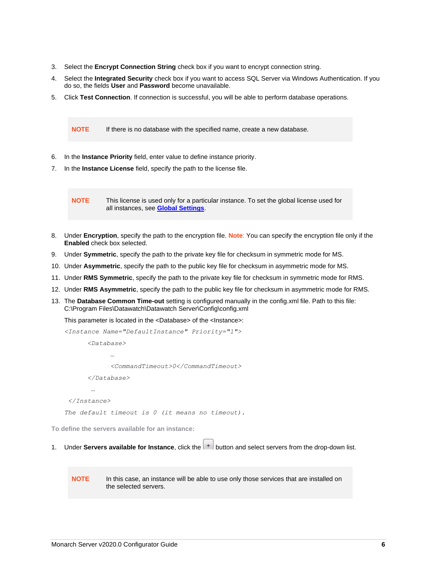- 3. Select the **Encrypt Connection String** check box if you want to encrypt connection string.
- 4. Select the **Integrated Security** check box if you want to access SQL Server via Windows Authentication. If you do so, the fields **User** and **Password** become unavailable.
- 5. Click **Test Connection**. If connection is successful, you will be able to perform database operations.

**NOTE** If there is no database with the specified name, create a new database.

- 6. In the **Instance Priority** field, enter value to define instance priority.
- 7. In the **Instance License** field, specify the path to the license file.

**NOTE** This license is used only for a particular instance. To set the global license used for all instances, see **[Global Settings](#page-24-0)**.

- 8. Under **Encryption**, specify the path to the encryption file. **Note**: You can specify the encryption file only if the **Enabled** check box selected.
- 9. Under **Symmetric**, specify the path to the private key file for checksum in symmetric mode for MS.
- 10. Under **Asymmetric**, specify the path to the public key file for checksum in asymmetric mode for MS.
- 11. Under **RMS Symmetric**, specify the path to the private key file for checksum in symmetric mode for RMS.
- 12. Under **RMS Asymmetric**, specify the path to the public key file for checksum in asymmetric mode for RMS.
- 13. The **Database Common Time-out** setting is configured manually in the config.xml file. Path to this file: C:\Program Files\Datawatch\Datawatch Server\Config\config.xml

This parameter is located in the <Database> of the <Instance>:

```
<Instance Name="DefaultInstance" Priority="1">
      <Database>
 …
            <CommandTimeout>0</CommandTimeout>
      </Database>
 …
```
*</Instance>*

*The default timeout is 0 (it means no timeout).*

**To define the servers available for an instance:**

1. Under **Servers available for Instance**, click the  $\vert$ <sup>+</sup> button and select servers from the drop-down list.

**NOTE** In this case, an instance will be able to use only those services that are installed on the selected servers.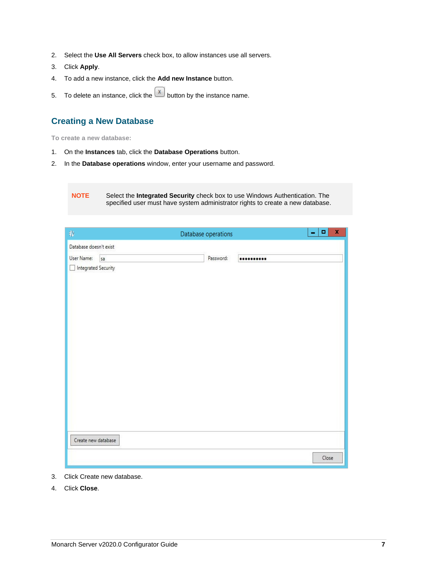- 2. Select the **Use All Servers** check box, to allow instances use all servers.
- 3. Click **Apply**.
- 4. To add a new instance, click the **Add new Instance** button.
- 5. To delete an instance, click the  $\boxed{x}$  button by the instance name.

### <span id="page-8-0"></span>**Creating a New Database**

**To create a new database:**

- 1. On the **Instances** tab, click the **Database Operations** button.
- 2. In the **Database operations** window, enter your username and password.

**NOTE** Select the **Integrated Security** check box to use Windows Authentication. The specified user must have system administrator rights to create a new database.

| $\downarrow$               |    | Database operations |           | $\mathbf x$<br>$\blacksquare$<br>- |
|----------------------------|----|---------------------|-----------|------------------------------------|
| Database doesn't exist     |    |                     |           |                                    |
| User Name:                 | sa |                     | Password: |                                    |
| $\Box$ Integrated Security |    |                     |           |                                    |
|                            |    |                     |           |                                    |
|                            |    |                     |           |                                    |
|                            |    |                     |           |                                    |
|                            |    |                     |           |                                    |
|                            |    |                     |           |                                    |
|                            |    |                     |           |                                    |
|                            |    |                     |           |                                    |
|                            |    |                     |           |                                    |
|                            |    |                     |           |                                    |
|                            |    |                     |           |                                    |
|                            |    |                     |           |                                    |
|                            |    |                     |           |                                    |
|                            |    |                     |           |                                    |
| Create new database        |    |                     |           |                                    |
|                            |    |                     |           | Close                              |

- 3. Click Create new database.
- 4. Click **Close**.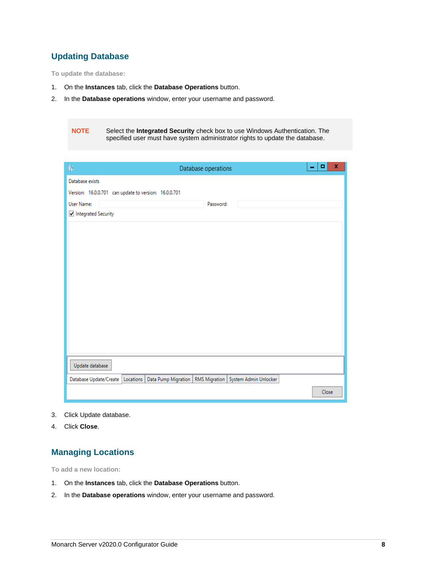### <span id="page-9-0"></span>**Updating Database**

**To update the database:**

- 1. On the **Instances** tab, click the **Database Operations** button.
- 2. In the **Database operations** window, enter your username and password.

**NOTE** Select the **Integrated Security** check box to use Windows Authentication. The specified user must have system administrator rights to update the database.

| $\downarrow$                                          |  | Database operations |                                                                                                  | $\mathbf{r}$ | ۰     | x |
|-------------------------------------------------------|--|---------------------|--------------------------------------------------------------------------------------------------|--------------|-------|---|
| Database exists                                       |  |                     |                                                                                                  |              |       |   |
| Version: 16.0.0.701 can update to version: 16.0.0.701 |  |                     |                                                                                                  |              |       |   |
| User Name:                                            |  | Password:           |                                                                                                  |              |       |   |
| Integrated Security                                   |  |                     |                                                                                                  |              |       |   |
|                                                       |  |                     |                                                                                                  |              |       |   |
|                                                       |  |                     |                                                                                                  |              |       |   |
|                                                       |  |                     |                                                                                                  |              |       |   |
|                                                       |  |                     |                                                                                                  |              |       |   |
|                                                       |  |                     |                                                                                                  |              |       |   |
|                                                       |  |                     |                                                                                                  |              |       |   |
|                                                       |  |                     |                                                                                                  |              |       |   |
|                                                       |  |                     |                                                                                                  |              |       |   |
|                                                       |  |                     |                                                                                                  |              |       |   |
|                                                       |  |                     |                                                                                                  |              |       |   |
|                                                       |  |                     |                                                                                                  |              |       |   |
| Update database                                       |  |                     |                                                                                                  |              |       |   |
|                                                       |  |                     | Database Update/Create   Locations   Data Pump Migration   RMS Migration   System Admin Unlocker |              |       |   |
|                                                       |  |                     |                                                                                                  |              | Close |   |

- 3. Click Update database.
- <span id="page-9-1"></span>4. Click **Close**.

### **Managing Locations**

**To add a new location:**

- 1. On the **Instances** tab, click the **Database Operations** button.
- 2. In the **Database operations** window, enter your username and password.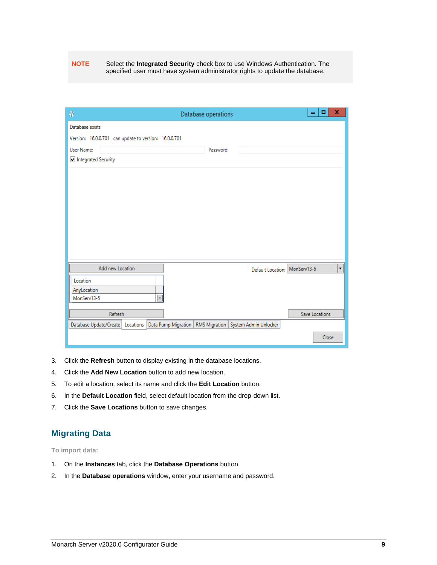#### **NOTE** Select the **Integrated Security** check box to use Windows Authentication. The specified user must have system administrator rights to update the database.

| $\bigcirc$                                            | Database operations                                         | -                             | x<br>۰ |                          |
|-------------------------------------------------------|-------------------------------------------------------------|-------------------------------|--------|--------------------------|
| Database exists                                       |                                                             |                               |        |                          |
| Version: 16.0.0.701 can update to version: 16.0.0.701 |                                                             |                               |        |                          |
| User Name:                                            | Password:                                                   |                               |        |                          |
| Integrated Security                                   |                                                             |                               |        |                          |
|                                                       |                                                             |                               |        |                          |
|                                                       |                                                             |                               |        |                          |
|                                                       |                                                             |                               |        |                          |
|                                                       |                                                             |                               |        |                          |
|                                                       |                                                             |                               |        |                          |
|                                                       |                                                             |                               |        |                          |
|                                                       |                                                             |                               |        |                          |
|                                                       |                                                             |                               |        |                          |
| Add new Location                                      |                                                             | Default Location: MonServ13-5 |        | $\overline{\phantom{a}}$ |
| Location                                              |                                                             |                               |        |                          |
| AnyLocation                                           |                                                             |                               |        |                          |
| $\bar{\mathbf{x}}$<br>MonServ13-5                     |                                                             |                               |        |                          |
| Refresh                                               |                                                             | Save Locations                |        |                          |
| Database Update/Create   Locations                    | Data Pump Migration   RMS Migration   System Admin Unlocker |                               |        |                          |
|                                                       |                                                             |                               |        |                          |
|                                                       |                                                             |                               | Close  |                          |

- 3. Click the **Refresh** button to display existing in the database locations.
- 4. Click the **Add New Location** button to add new location.
- 5. To edit a location, select its name and click the **Edit Location** button.
- 6. In the **Default Location** field, select default location from the drop-down list.
- <span id="page-10-0"></span>7. Click the **Save Locations** button to save changes.

### **Migrating Data**

**To import data:**

- 1. On the **Instances** tab, click the **Database Operations** button.
- 2. In the **Database operations** window, enter your username and password.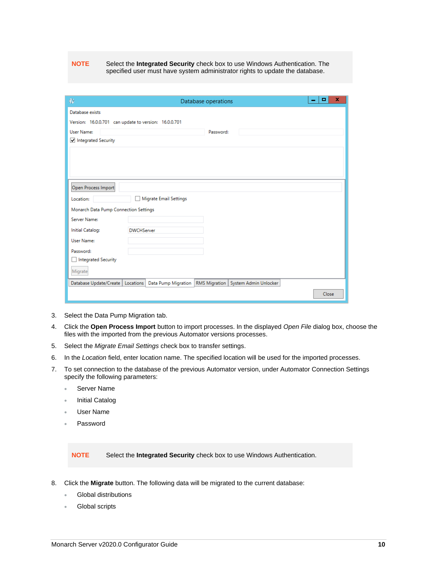#### **NOTE** Select the **Integrated Security** check box to use Windows Authentication. The specified user must have system administrator rights to update the database.

| $\bigcirc$                                                                                       |                   |                        | Database operations | x<br>۰ |
|--------------------------------------------------------------------------------------------------|-------------------|------------------------|---------------------|--------|
| Database exists                                                                                  |                   |                        |                     |        |
| Version: 16.0.0.701 can update to version: 16.0.0.701                                            |                   |                        |                     |        |
| User Name:                                                                                       |                   |                        | Password:           |        |
| Integrated Security                                                                              |                   |                        |                     |        |
|                                                                                                  |                   |                        |                     |        |
|                                                                                                  |                   |                        |                     |        |
|                                                                                                  |                   |                        |                     |        |
|                                                                                                  |                   |                        |                     |        |
| Open Process Import                                                                              |                   |                        |                     |        |
| Location:                                                                                        |                   | Migrate Email Settings |                     |        |
| Monarch Data Pump Connection Settings                                                            |                   |                        |                     |        |
| Server Name:                                                                                     |                   |                        |                     |        |
| <b>Initial Catalog:</b>                                                                          | <b>DWCHServer</b> |                        |                     |        |
| User Name:                                                                                       |                   |                        |                     |        |
| Password:                                                                                        |                   |                        |                     |        |
| Integrated Security                                                                              |                   |                        |                     |        |
| Migrate                                                                                          |                   |                        |                     |        |
| Database Update/Create   Locations   Data Pump Migration   RMS Migration   System Admin Unlocker |                   |                        |                     |        |
|                                                                                                  |                   |                        |                     | Close  |

- 3. Select the Data Pump Migration tab.
- 4. Click the **Open Process Import** button to import processes. In the displayed *Open File* dialog box, choose the files with the imported from the previous Automator versions processes.
- 5. Select the *Migrate Email Settings* check box to transfer settings.
- 6. In the *Location* field, enter location name. The specified location will be used for the imported processes.
- 7. To set connection to the database of the previous Automator version, under Automator Connection Settings specify the following parameters:
	- Server Name
	- **Initial Catalog**
	- User Name
	- Password

**NOTE** Select the **Integrated Security** check box to use Windows Authentication.

- 8. Click the **Migrate** button. The following data will be migrated to the current database:
	- Global distributions
	- Global scripts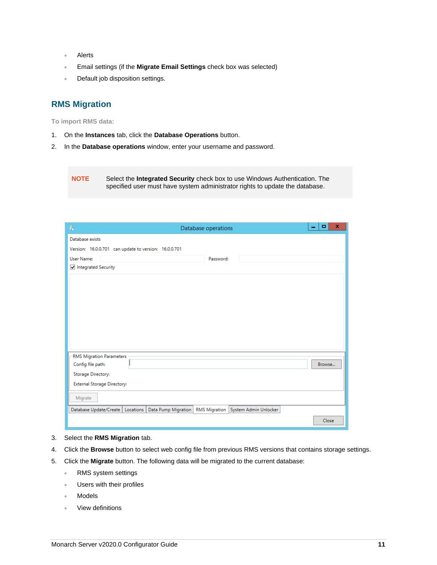- **Alerts**
- Email settings (if the **Migrate Email Settings** check box was selected)
- Default job disposition settings.

### <span id="page-12-0"></span>**RMS Migration**

**To import RMS data:**

- 1. On the **Instances** tab, click the **Database Operations** button.
- 2. In the **Database operations** window, enter your username and password.

**NOTE** Select the **Integrated Security** check box to use Windows Authentication. The specified user must have system administrator rights to update the database.

| $\bigoplus$                                           |  | Database operations |                                                                                                  | ۰<br>- | x |
|-------------------------------------------------------|--|---------------------|--------------------------------------------------------------------------------------------------|--------|---|
| Database exists                                       |  |                     |                                                                                                  |        |   |
| Version: 16.0.0.701 can update to version: 16.0.0.701 |  |                     |                                                                                                  |        |   |
| User Name:                                            |  | Password:           |                                                                                                  |        |   |
| Integrated Security                                   |  |                     |                                                                                                  |        |   |
|                                                       |  |                     |                                                                                                  |        |   |
|                                                       |  |                     |                                                                                                  |        |   |
|                                                       |  |                     |                                                                                                  |        |   |
|                                                       |  |                     |                                                                                                  |        |   |
|                                                       |  |                     |                                                                                                  |        |   |
|                                                       |  |                     |                                                                                                  |        |   |
|                                                       |  |                     |                                                                                                  |        |   |
|                                                       |  |                     |                                                                                                  |        |   |
| <b>RMS Migration Parameters</b><br>Config file path:  |  |                     |                                                                                                  | Browse |   |
| Storage Directory:                                    |  |                     |                                                                                                  |        |   |
| <b>External Storage Directory:</b>                    |  |                     |                                                                                                  |        |   |
|                                                       |  |                     |                                                                                                  |        |   |
| Migrate                                               |  |                     |                                                                                                  |        |   |
|                                                       |  |                     | Database Update/Create   Locations   Data Pump Migration   RMS Migration   System Admin Unlocker |        |   |
|                                                       |  |                     |                                                                                                  | Close  |   |

- 3. Select the **RMS Migration** tab.
- 4. Click the **Browse** button to select web config file from previous RMS versions that contains storage settings.
- 5. Click the **Migrate** button. The following data will be migrated to the current database:
	- RMS system settings
	- Users with their profiles
	- **Models**
	- View definitions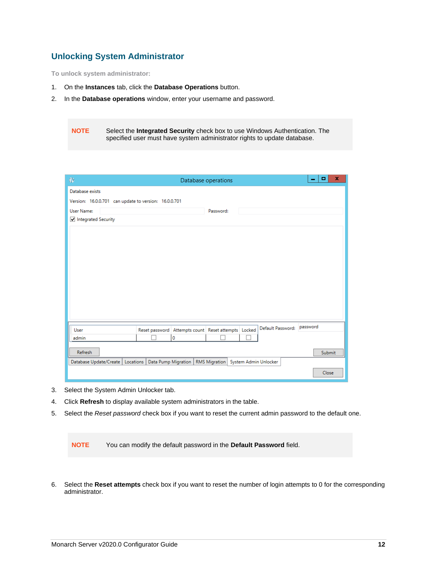### <span id="page-13-0"></span>**Unlocking System Administrator**

**To unlock system administrator:**

- 1. On the **Instances** tab, click the **Database Operations** button.
- 2. In the **Database operations** window, enter your username and password.

**NOTE** Select the **Integrated Security** check box to use Windows Authentication. The specified user must have system administrator rights to update database.

| $\oplus$                                              |                                                     | Database operations          | x<br>$\blacksquare$<br>- |
|-------------------------------------------------------|-----------------------------------------------------|------------------------------|--------------------------|
| Database exists                                       |                                                     |                              |                          |
| Version: 16.0.0.701 can update to version: 16.0.0.701 |                                                     |                              |                          |
| User Name:                                            |                                                     | Password:                    |                          |
| Integrated Security                                   |                                                     |                              |                          |
|                                                       |                                                     |                              |                          |
|                                                       |                                                     |                              |                          |
|                                                       |                                                     |                              |                          |
|                                                       |                                                     |                              |                          |
|                                                       |                                                     |                              |                          |
|                                                       |                                                     |                              |                          |
|                                                       |                                                     |                              |                          |
|                                                       |                                                     |                              |                          |
|                                                       |                                                     |                              |                          |
|                                                       |                                                     |                              |                          |
| User                                                  | Reset password Attempts count Reset attempts Locked | Default Password:   password |                          |
| admin                                                 | 0                                                   |                              |                          |
| <b>Refresh</b>                                        |                                                     |                              | Submit                   |
| Database Update/Create                                | Locations   Data Pump Migration   RMS Migration     | System Admin Unlocker        |                          |
|                                                       |                                                     |                              | Close                    |

- 3. Select the System Admin Unlocker tab.
- 4. Click **Refresh** to display available system administrators in the table.
- 5. Select the *Reset password* check box if you want to reset the current admin password to the default one.

**NOTE** You can modify the default password in the **Default Password** field.

6. Select the **Reset attempts** check box if you want to reset the number of login attempts to 0 for the corresponding administrator.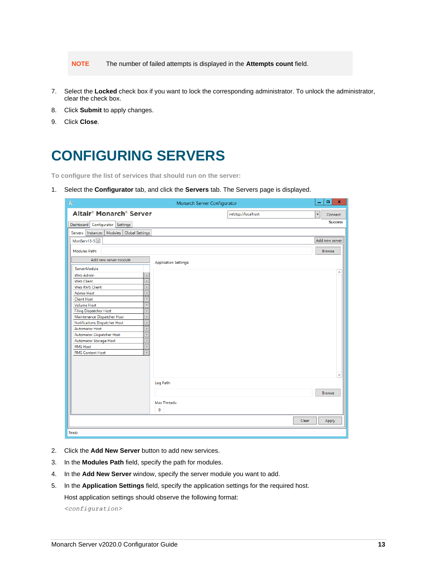**NOTE** The number of failed attempts is displayed in the **Attempts count** field.

- 7. Select the **Locked** check box if you want to lock the corresponding administrator. To unlock the administrator, clear the check box.
- 8. Click **Submit** to apply changes.
- <span id="page-14-0"></span>9. Click **Close**.

### **CONFIGURING SERVERS**

**To configure the list of services that should run on the server:**

1. Select the **Configurator** tab, and click the **Servers** tab. The Servers page is displayed.

| Altair <sup>®</sup> Monarch <sup>®</sup> Server<br>net.tcp://localhost<br>Connect<br>▼<br><b>Success</b><br>Dashboard Configurator Settings<br>Servers   Instances   Modules   Global Settings<br>MonServ13-5 x<br>Add new server<br>Modules Path:<br><b>Browse</b><br>Add new server module<br><b>Application Settings:</b><br>ServerModule<br>$\overline{\mathbf{x}}$<br><b>Web Admin</b><br>$\overline{\mathbf{x}}$<br><b>Web Client</b><br>Web RMS Client<br>$\bar{\mathbf{x}}$<br>$\bar{\mathbf{x}}$<br><b>Admin Host</b><br>$\overline{\mathbf{x}}$<br><b>Client Host</b><br>$\overline{\mathbf{x}}$<br>Volume Host<br><b>Filing Dispatcher Host</b><br>$\mathbf x$<br>$\overline{\mathbf{x}}$<br>Maintenance Dispatcher Host<br>$\bar{\mathbf{x}}$<br>Notifications Dispatcher Host<br>$\overline{\mathbf{x}}$<br><b>Automator Host</b><br>$\overline{\mathbf{x}}$<br>Automator Dispatcher Host<br>$\mathbf{x}$<br>Automator Storage Host<br>$\mathbf x$<br><b>RMS Host</b><br>$\bar{\mathbf{x}}$<br><b>RMS Content Host</b><br>Log Path:<br><b>Browse</b><br>Max Threads:<br>$\mathbf 0$<br><b>Clear</b><br>Apply<br>Ready | $\bigcirc$ | Monarch Server Configurator | $\Box$<br>$\mathbf x$<br>- |
|------------------------------------------------------------------------------------------------------------------------------------------------------------------------------------------------------------------------------------------------------------------------------------------------------------------------------------------------------------------------------------------------------------------------------------------------------------------------------------------------------------------------------------------------------------------------------------------------------------------------------------------------------------------------------------------------------------------------------------------------------------------------------------------------------------------------------------------------------------------------------------------------------------------------------------------------------------------------------------------------------------------------------------------------------------------------------------------------------------------------------------|------------|-----------------------------|----------------------------|
|                                                                                                                                                                                                                                                                                                                                                                                                                                                                                                                                                                                                                                                                                                                                                                                                                                                                                                                                                                                                                                                                                                                                    |            |                             |                            |
|                                                                                                                                                                                                                                                                                                                                                                                                                                                                                                                                                                                                                                                                                                                                                                                                                                                                                                                                                                                                                                                                                                                                    |            |                             |                            |
|                                                                                                                                                                                                                                                                                                                                                                                                                                                                                                                                                                                                                                                                                                                                                                                                                                                                                                                                                                                                                                                                                                                                    |            |                             |                            |
|                                                                                                                                                                                                                                                                                                                                                                                                                                                                                                                                                                                                                                                                                                                                                                                                                                                                                                                                                                                                                                                                                                                                    |            |                             |                            |
|                                                                                                                                                                                                                                                                                                                                                                                                                                                                                                                                                                                                                                                                                                                                                                                                                                                                                                                                                                                                                                                                                                                                    |            |                             |                            |
|                                                                                                                                                                                                                                                                                                                                                                                                                                                                                                                                                                                                                                                                                                                                                                                                                                                                                                                                                                                                                                                                                                                                    |            |                             |                            |
|                                                                                                                                                                                                                                                                                                                                                                                                                                                                                                                                                                                                                                                                                                                                                                                                                                                                                                                                                                                                                                                                                                                                    |            |                             |                            |
|                                                                                                                                                                                                                                                                                                                                                                                                                                                                                                                                                                                                                                                                                                                                                                                                                                                                                                                                                                                                                                                                                                                                    |            |                             |                            |
|                                                                                                                                                                                                                                                                                                                                                                                                                                                                                                                                                                                                                                                                                                                                                                                                                                                                                                                                                                                                                                                                                                                                    |            |                             |                            |
|                                                                                                                                                                                                                                                                                                                                                                                                                                                                                                                                                                                                                                                                                                                                                                                                                                                                                                                                                                                                                                                                                                                                    |            |                             |                            |
|                                                                                                                                                                                                                                                                                                                                                                                                                                                                                                                                                                                                                                                                                                                                                                                                                                                                                                                                                                                                                                                                                                                                    |            |                             |                            |
|                                                                                                                                                                                                                                                                                                                                                                                                                                                                                                                                                                                                                                                                                                                                                                                                                                                                                                                                                                                                                                                                                                                                    |            |                             |                            |
|                                                                                                                                                                                                                                                                                                                                                                                                                                                                                                                                                                                                                                                                                                                                                                                                                                                                                                                                                                                                                                                                                                                                    |            |                             |                            |
|                                                                                                                                                                                                                                                                                                                                                                                                                                                                                                                                                                                                                                                                                                                                                                                                                                                                                                                                                                                                                                                                                                                                    |            |                             |                            |
|                                                                                                                                                                                                                                                                                                                                                                                                                                                                                                                                                                                                                                                                                                                                                                                                                                                                                                                                                                                                                                                                                                                                    |            |                             |                            |
|                                                                                                                                                                                                                                                                                                                                                                                                                                                                                                                                                                                                                                                                                                                                                                                                                                                                                                                                                                                                                                                                                                                                    |            |                             |                            |
|                                                                                                                                                                                                                                                                                                                                                                                                                                                                                                                                                                                                                                                                                                                                                                                                                                                                                                                                                                                                                                                                                                                                    |            |                             |                            |
|                                                                                                                                                                                                                                                                                                                                                                                                                                                                                                                                                                                                                                                                                                                                                                                                                                                                                                                                                                                                                                                                                                                                    |            |                             |                            |
|                                                                                                                                                                                                                                                                                                                                                                                                                                                                                                                                                                                                                                                                                                                                                                                                                                                                                                                                                                                                                                                                                                                                    |            |                             |                            |
|                                                                                                                                                                                                                                                                                                                                                                                                                                                                                                                                                                                                                                                                                                                                                                                                                                                                                                                                                                                                                                                                                                                                    |            |                             |                            |
|                                                                                                                                                                                                                                                                                                                                                                                                                                                                                                                                                                                                                                                                                                                                                                                                                                                                                                                                                                                                                                                                                                                                    |            |                             |                            |
|                                                                                                                                                                                                                                                                                                                                                                                                                                                                                                                                                                                                                                                                                                                                                                                                                                                                                                                                                                                                                                                                                                                                    |            |                             |                            |
|                                                                                                                                                                                                                                                                                                                                                                                                                                                                                                                                                                                                                                                                                                                                                                                                                                                                                                                                                                                                                                                                                                                                    |            |                             |                            |
|                                                                                                                                                                                                                                                                                                                                                                                                                                                                                                                                                                                                                                                                                                                                                                                                                                                                                                                                                                                                                                                                                                                                    |            |                             |                            |
|                                                                                                                                                                                                                                                                                                                                                                                                                                                                                                                                                                                                                                                                                                                                                                                                                                                                                                                                                                                                                                                                                                                                    |            |                             |                            |
|                                                                                                                                                                                                                                                                                                                                                                                                                                                                                                                                                                                                                                                                                                                                                                                                                                                                                                                                                                                                                                                                                                                                    |            |                             |                            |
|                                                                                                                                                                                                                                                                                                                                                                                                                                                                                                                                                                                                                                                                                                                                                                                                                                                                                                                                                                                                                                                                                                                                    |            |                             |                            |
|                                                                                                                                                                                                                                                                                                                                                                                                                                                                                                                                                                                                                                                                                                                                                                                                                                                                                                                                                                                                                                                                                                                                    |            |                             |                            |
|                                                                                                                                                                                                                                                                                                                                                                                                                                                                                                                                                                                                                                                                                                                                                                                                                                                                                                                                                                                                                                                                                                                                    |            |                             |                            |
|                                                                                                                                                                                                                                                                                                                                                                                                                                                                                                                                                                                                                                                                                                                                                                                                                                                                                                                                                                                                                                                                                                                                    |            |                             |                            |
|                                                                                                                                                                                                                                                                                                                                                                                                                                                                                                                                                                                                                                                                                                                                                                                                                                                                                                                                                                                                                                                                                                                                    |            |                             |                            |
|                                                                                                                                                                                                                                                                                                                                                                                                                                                                                                                                                                                                                                                                                                                                                                                                                                                                                                                                                                                                                                                                                                                                    |            |                             |                            |
|                                                                                                                                                                                                                                                                                                                                                                                                                                                                                                                                                                                                                                                                                                                                                                                                                                                                                                                                                                                                                                                                                                                                    |            |                             |                            |

- 2. Click the **Add New Server** button to add new services.
- 3. In the **Modules Path** field, specify the path for modules.
- 4. In the **Add New Server** window, specify the server module you want to add.
- 5. In the **Application Settings** field, specify the application settings for the required host.

Host application settings should observe the following format:

*<configuration>*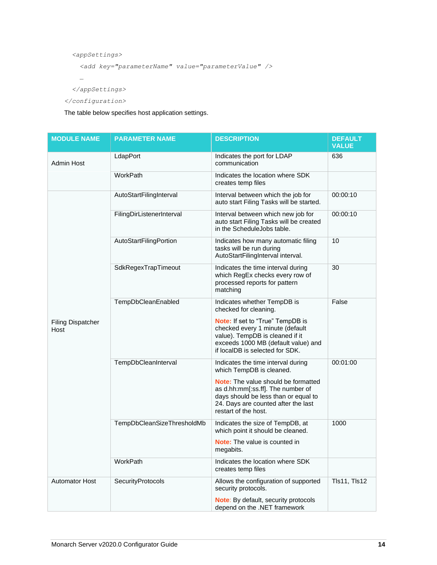```
 <appSettings>
```

```
 <add key="parameterName" value="parameterValue" />
```
 *…*

 *</appSettings>*

*</configuration>*

The table below specifies host application settings.

| <b>MODULE NAME</b>               | <b>PARAMETER NAME</b>      | <b>DESCRIPTION</b>                                                                                                                                                               | <b>DEFAULT</b><br><b>VALUE</b> |
|----------------------------------|----------------------------|----------------------------------------------------------------------------------------------------------------------------------------------------------------------------------|--------------------------------|
| Admin Host                       | LdapPort                   | Indicates the port for LDAP<br>communication                                                                                                                                     | 636                            |
|                                  | WorkPath                   | Indicates the location where SDK<br>creates temp files                                                                                                                           |                                |
|                                  | AutoStartFilingInterval    | Interval between which the job for<br>auto start Filing Tasks will be started.                                                                                                   | 00:00:10                       |
| <b>Filing Dispatcher</b><br>Host | FilingDirListenerInterval  | Interval between which new job for<br>auto start Filing Tasks will be created<br>in the ScheduleJobs table.                                                                      | 00:00:10                       |
|                                  | AutoStartFilingPortion     | Indicates how many automatic filing<br>tasks will be run during<br>AutoStartFilingInterval interval.                                                                             | 10                             |
|                                  | SdkRegexTrapTimeout        | Indicates the time interval during<br>which RegEx checks every row of<br>processed reports for pattern<br>matching                                                               | 30                             |
|                                  | TempDbCleanEnabled         | Indicates whether TempDB is<br>checked for cleaning.                                                                                                                             | False                          |
|                                  |                            | Note: If set to "True" TempDB is<br>checked every 1 minute (default<br>value). TempDB is cleaned if it<br>exceeds 1000 MB (default value) and<br>if localDB is selected for SDK. |                                |
|                                  | TempDbCleanInterval        | Indicates the time interval during<br>which TempDB is cleaned.                                                                                                                   | 00:01:00                       |
|                                  |                            | Note: The value should be formatted<br>as d.hh:mm[:ss.ff]. The number of<br>days should be less than or equal to<br>24. Days are counted after the last<br>restart of the host.  |                                |
|                                  | TempDbCleanSizeThresholdMb | Indicates the size of TempDB, at<br>which point it should be cleaned.                                                                                                            | 1000                           |
|                                  |                            | <b>Note:</b> The value is counted in<br>megabits.                                                                                                                                |                                |
|                                  | WorkPath                   | Indicates the location where SDK<br>creates temp files                                                                                                                           |                                |
| <b>Automator Host</b>            | <b>SecurityProtocols</b>   | Allows the configuration of supported<br>security protocols.                                                                                                                     | <b>TIs11, TIs12</b>            |
|                                  |                            | Note: By default, security protocols<br>depend on the .NET framework                                                                                                             |                                |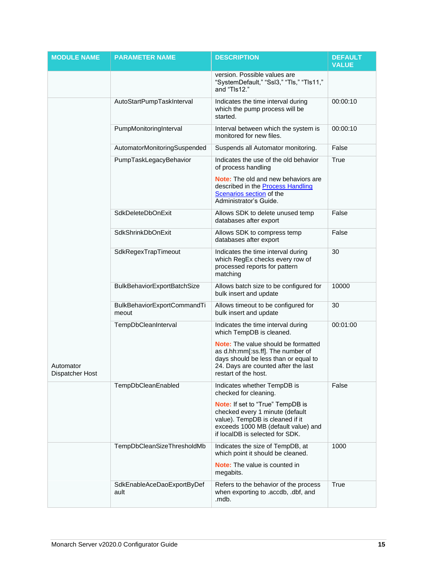| <b>MODULE NAME</b>           | <b>PARAMETER NAME</b>                | <b>DESCRIPTION</b>                                                                                                                                                                      | <b>DEFAULT</b><br><b>VALUE</b> |
|------------------------------|--------------------------------------|-----------------------------------------------------------------------------------------------------------------------------------------------------------------------------------------|--------------------------------|
|                              |                                      | version. Possible values are<br>"SystemDefault," "Ssl3," "Tls," "Tls11,"<br>and "Tls12."                                                                                                |                                |
|                              | AutoStartPumpTaskInterval            | Indicates the time interval during<br>which the pump process will be<br>started.                                                                                                        | 00:00:10                       |
|                              | PumpMonitoringInterval               | Interval between which the system is<br>monitored for new files.                                                                                                                        | 00:00:10                       |
|                              | AutomatorMonitoringSuspended         | Suspends all Automator monitoring.                                                                                                                                                      | False                          |
|                              | PumpTaskLegacyBehavior               | Indicates the use of the old behavior<br>of process handling                                                                                                                            | True                           |
|                              |                                      | <b>Note:</b> The old and new behaviors are<br>described in the <b>Process Handling</b><br>Scenarios section of the<br>Administrator's Guide.                                            |                                |
|                              | <b>SdkDeleteDbOnExit</b>             | Allows SDK to delete unused temp<br>databases after export                                                                                                                              | False                          |
|                              | SdkShrinkDbOnExit                    | Allows SDK to compress temp<br>databases after export                                                                                                                                   | False                          |
|                              | SdkRegexTrapTimeout                  | Indicates the time interval during<br>which RegEx checks every row of<br>processed reports for pattern<br>matching                                                                      | 30                             |
|                              | <b>BulkBehaviorExportBatchSize</b>   | Allows batch size to be configured for<br>bulk insert and update                                                                                                                        | 10000                          |
|                              | BulkBehaviorExportCommandTi<br>meout | Allows timeout to be configured for<br>bulk insert and update                                                                                                                           | 30                             |
|                              | TempDbCleanInterval                  | Indicates the time interval during<br>which TempDB is cleaned.                                                                                                                          | 00:01:00                       |
| Automator<br>Dispatcher Host |                                      | <b>Note:</b> The value should be formatted<br>as d.hh:mm[:ss.ff]. The number of<br>days should be less than or equal to<br>24. Days are counted after the last<br>restart of the host.  |                                |
|                              | TempDbCleanEnabled                   | Indicates whether TempDB is<br>checked for cleaning.                                                                                                                                    | False                          |
|                              |                                      | <b>Note:</b> If set to "True" TempDB is<br>checked every 1 minute (default<br>value). TempDB is cleaned if it<br>exceeds 1000 MB (default value) and<br>if localDB is selected for SDK. |                                |
|                              | TempDbCleanSizeThresholdMb           | Indicates the size of TempDB, at<br>which point it should be cleaned.                                                                                                                   | 1000                           |
|                              |                                      | <b>Note:</b> The value is counted in<br>megabits.                                                                                                                                       |                                |
|                              | SdkEnableAceDaoExportByDef<br>ault   | Refers to the behavior of the process<br>when exporting to .accdb, .dbf, and<br>.mdb.                                                                                                   | True                           |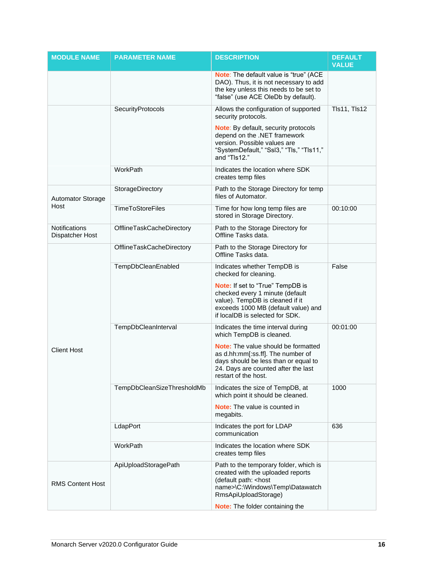| <b>MODULE NAME</b>                      | <b>PARAMETER NAME</b>      | <b>DESCRIPTION</b>                                                                                                                                                                     | <b>DEFAULT</b><br><b>VALUE</b> |
|-----------------------------------------|----------------------------|----------------------------------------------------------------------------------------------------------------------------------------------------------------------------------------|--------------------------------|
|                                         |                            | Note: The default value is "true" (ACE<br>DAO). Thus, it is not necessary to add<br>the key unless this needs to be set to<br>"false" (use ACE OleDb by default).                      |                                |
|                                         | SecurityProtocols          | Allows the configuration of supported<br>security protocols.                                                                                                                           | <b>TIs11, TIs12</b>            |
|                                         |                            | Note: By default, security protocols<br>depend on the .NET framework<br>version. Possible values are<br>"SystemDefault," "Ssl3," "Tls," "Tls11,"<br>and "Tls12."                       |                                |
|                                         | WorkPath                   | Indicates the location where SDK<br>creates temp files                                                                                                                                 |                                |
| <b>Automator Storage</b>                | StorageDirectory           | Path to the Storage Directory for temp<br>files of Automator.                                                                                                                          |                                |
| Host                                    | <b>TimeToStoreFiles</b>    | Time for how long temp files are<br>stored in Storage Directory.                                                                                                                       | 00:10:00                       |
| <b>Notifications</b><br>Dispatcher Host | OfflineTaskCacheDirectory  | Path to the Storage Directory for<br>Offline Tasks data.                                                                                                                               |                                |
|                                         | OfflineTaskCacheDirectory  | Path to the Storage Directory for<br>Offline Tasks data.                                                                                                                               |                                |
|                                         | TempDbCleanEnabled         | Indicates whether TempDB is<br>checked for cleaning.                                                                                                                                   | False                          |
|                                         |                            | Note: If set to "True" TempDB is<br>checked every 1 minute (default<br>value). TempDB is cleaned if it<br>exceeds 1000 MB (default value) and<br>if localDB is selected for SDK.       |                                |
|                                         | TempDbCleanInterval        | Indicates the time interval during<br>which TempDB is cleaned.                                                                                                                         | 00:01:00                       |
| <b>Client Host</b>                      |                            | <b>Note:</b> The value should be formatted<br>as d.hh:mm[:ss.ff]. The number of<br>days should be less than or equal to<br>24. Days are counted after the last<br>restart of the host. |                                |
|                                         | TempDbCleanSizeThresholdMb | Indicates the size of TempDB, at<br>which point it should be cleaned.                                                                                                                  | 1000                           |
|                                         |                            | <b>Note:</b> The value is counted in<br>megabits.                                                                                                                                      |                                |
|                                         | LdapPort                   | Indicates the port for LDAP<br>communication                                                                                                                                           | 636                            |
|                                         | WorkPath                   | Indicates the location where SDK<br>creates temp files                                                                                                                                 |                                |
| <b>RMS Content Host</b>                 | ApiUploadStoragePath       | Path to the temporary folder, which is<br>created with the uploaded reports<br>(default path: < host<br>name>\C:\Windows\Temp\Datawatch<br>RmsApiUploadStorage)                        |                                |
|                                         |                            | Note: The folder containing the                                                                                                                                                        |                                |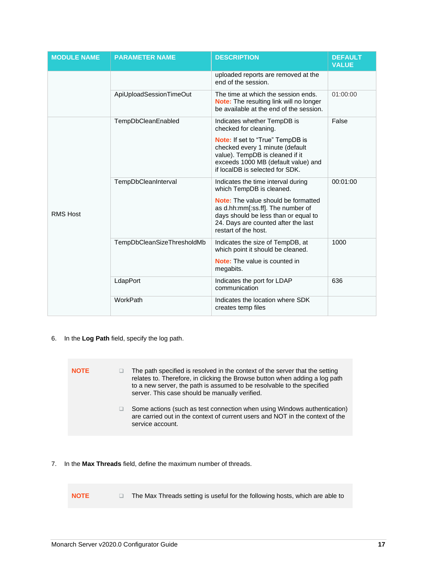| <b>MODULE NAME</b> | <b>PARAMETER NAME</b>      | <b>DESCRIPTION</b>                                                                                                                                                                     | <b>DEFAULT</b><br><b>VALUE</b> |
|--------------------|----------------------------|----------------------------------------------------------------------------------------------------------------------------------------------------------------------------------------|--------------------------------|
|                    |                            | uploaded reports are removed at the<br>end of the session.                                                                                                                             |                                |
|                    | ApiUploadSessionTimeOut    | The time at which the session ends.<br><b>Note:</b> The resulting link will no longer<br>be available at the end of the session.                                                       | 01:00:00                       |
|                    | TempDbCleanEnabled         | Indicates whether TempDB is<br>checked for cleaning.<br><b>Note:</b> If set to "True" TempDB is                                                                                        | False                          |
|                    |                            | checked every 1 minute (default<br>value). TempDB is cleaned if it<br>exceeds 1000 MB (default value) and<br>if localDB is selected for SDK.                                           |                                |
|                    | TempDbCleanInterval        | Indicates the time interval during<br>which TempDB is cleaned.                                                                                                                         | 00:01:00                       |
| <b>RMS Host</b>    |                            | <b>Note:</b> The value should be formatted<br>as d.hh:mm[:ss.ff]. The number of<br>days should be less than or equal to<br>24. Days are counted after the last<br>restart of the host. |                                |
|                    | TempDbCleanSizeThresholdMb | Indicates the size of TempDB, at<br>which point it should be cleaned.                                                                                                                  | 1000                           |
|                    |                            | <b>Note:</b> The value is counted in<br>megabits.                                                                                                                                      |                                |
|                    | LdapPort                   | Indicates the port for LDAP<br>communication                                                                                                                                           | 636                            |
|                    | WorkPath                   | Indicates the location where SDK<br>creates temp files                                                                                                                                 |                                |

6. In the **Log Path** field, specify the log path.

| <b>NOTE</b> | The path specified is resolved in the context of the server that the setting<br>relates to. Therefore, in clicking the Browse button when adding a log path<br>to a new server, the path is assumed to be resolvable to the specified<br>server. This case should be manually verified. |
|-------------|-----------------------------------------------------------------------------------------------------------------------------------------------------------------------------------------------------------------------------------------------------------------------------------------|
|             | Some actions (such as test connection when using Windows authentication)<br>are carried out in the context of current users and NOT in the context of the<br>service account.                                                                                                           |

- 7. In the **Max Threads** field, define the maximum number of threads.
	- **NOTE** ❑ The Max Threads setting is useful for the following hosts, which are able to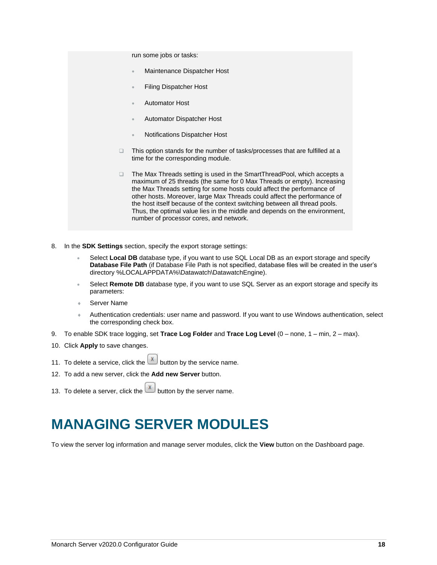run some jobs or tasks:

- Maintenance Dispatcher Host
- Filing Dispatcher Host
- Automator Host
- Automator Dispatcher Host
- Notifications Dispatcher Host
- ❑ This option stands for the number of tasks/processes that are fulfilled at a time for the corresponding module.
- ❑ The Max Threads setting is used in the SmartThreadPool, which accepts a maximum of 25 threads (the same for 0 Max Threads or empty). Increasing the Max Threads setting for some hosts could affect the performance of other hosts. Moreover, large Max Threads could affect the performance of the host itself because of the context switching between all thread pools. Thus, the optimal value lies in the middle and depends on the environment, number of processor cores, and network.
- 8. In the **SDK Settings** section, specify the export storage settings:
	- Select **Local DB** database type, if you want to use SQL Local DB as an export storage and specify **Database File Path** (if Database File Path is not specified, database files will be created in the user's directory %LOCALAPPDATA%\Datawatch\DatawatchEngine).
	- Select **Remote DB** database type, if you want to use SQL Server as an export storage and specify its parameters:
	- Server Name
	- Authentication credentials: user name and password. If you want to use Windows authentication, select the corresponding check box.
- 9. To enable SDK trace logging, set **Trace Log Folder** and **Trace Log Level** (0 none, 1 min, 2 max).
- 10. Click **Apply** to save changes.
- 11. To delete a service, click the  $\mathbf{X}$  button by the service name.
- 12. To add a new server, click the **Add new Server** button.
- <span id="page-19-0"></span>13. To delete a server, click the  $\left[\frac{\mathbf{x}}{2}\right]$  button by the server name.

### **MANAGING SERVER MODULES**

To view the server log information and manage server modules, click the **View** button on the Dashboard page.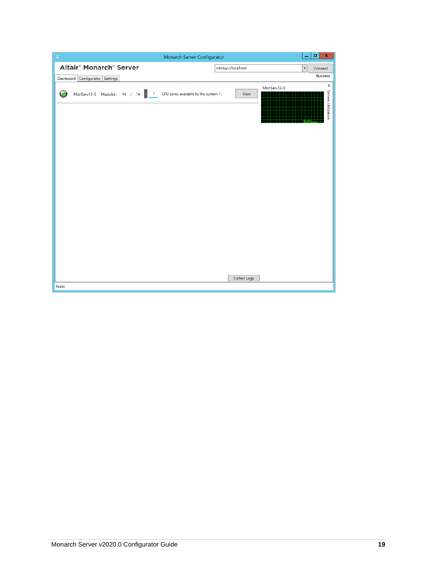|                                                 | Monarch Server Configurator                  | $\mathbf x$<br>$\blacksquare$<br>۰      |
|-------------------------------------------------|----------------------------------------------|-----------------------------------------|
| Altair <sup>®</sup> Monarch <sup>®</sup> Server | net.tcp://localhost                          | $\overline{\phantom{a}}$<br>Connect     |
| Configurator Settings<br>Dashboard              |                                              | <b>Success</b>                          |
| MonServ13-5 Modules: 14 / 14<br>$\overline{1}$  | CPU cores available to the system 1.<br>View | ><br>MonServ13-5<br>Servers Utilization |
|                                                 |                                              |                                         |
|                                                 |                                              |                                         |
|                                                 |                                              |                                         |
|                                                 |                                              |                                         |
|                                                 |                                              |                                         |
|                                                 |                                              |                                         |
|                                                 |                                              |                                         |
|                                                 |                                              |                                         |
|                                                 | Collect Logs                                 |                                         |
| Ready                                           |                                              |                                         |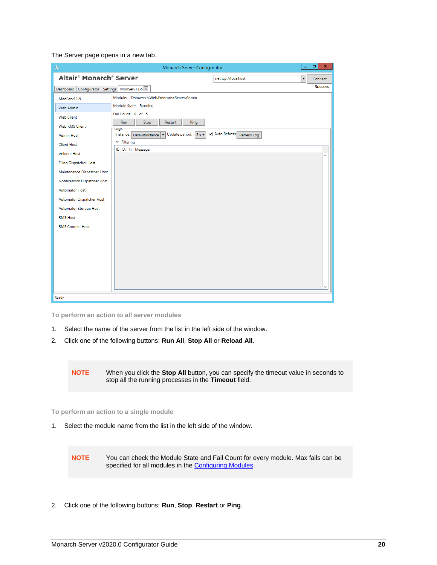The Server page opens in a new tab.

| $\n  4\n $                                                                                                                                                                                                                                        | Monarch Server Configurator                                                                                                                                                                                                                                                               |   | ۰ | ×                 |
|---------------------------------------------------------------------------------------------------------------------------------------------------------------------------------------------------------------------------------------------------|-------------------------------------------------------------------------------------------------------------------------------------------------------------------------------------------------------------------------------------------------------------------------------------------|---|---|-------------------|
| Altair <sup>®</sup> Monarch <sup>®</sup> Server                                                                                                                                                                                                   | net.tcp://localhost                                                                                                                                                                                                                                                                       | ۰ |   | Connect           |
| Dashboard Configurator Settings MonServ13-5 X                                                                                                                                                                                                     |                                                                                                                                                                                                                                                                                           |   |   | <b>Success</b>    |
| MonServ13-5<br>Web Admin<br><b>Web Client</b><br><b>Web RMS Client</b><br><b>Admin Host</b><br><b>Client Host</b>                                                                                                                                 | Module: Datawatch.Web.EnterpriseServer.Admin<br>Module State: Running<br>Fail Count: 0 of 5<br>Run<br>Stop<br>Restart<br>Ping<br>Logs<br>Auto Refresh<br>Update period: $5s$<br>Instance: DefaultInstance<br>$\mathbf{r}$<br>Refresh Log<br>$ightharpoonup$ Filtering<br>ID Di Tr Message |   |   |                   |
| <b>Volume Host</b><br><b>Filing Dispatcher Host</b><br>Maintenance Dispatcher Host<br>Notifications Dispatcher Host<br><b>Automator Host</b><br>Automator Dispatcher Host<br>Automator Storage Host<br><b>RMS Host</b><br><b>RMS Content Host</b> |                                                                                                                                                                                                                                                                                           |   |   | Α<br>$\checkmark$ |
| Ready                                                                                                                                                                                                                                             |                                                                                                                                                                                                                                                                                           |   |   |                   |

**To perform an action to all server modules**

- 1. Select the name of the server from the list in the left side of the window.
- 2. Click one of the following buttons: **Run All**, **Stop All** or **Reload All**.

**NOTE** When you click the **Stop All** button, you can specify the timeout value in seconds to stop all the running processes in the **Timeout** field.

**To perform an action to a single module**

1. Select the module name from the list in the left side of the window.

**NOTE** You can check the Module State and Fail Count for every module. Max fails can be specified for all modules in the [Configuring Modules.](#page-27-0)

2. Click one of the following buttons: **Run**, **Stop**, **Restart** or **Ping**.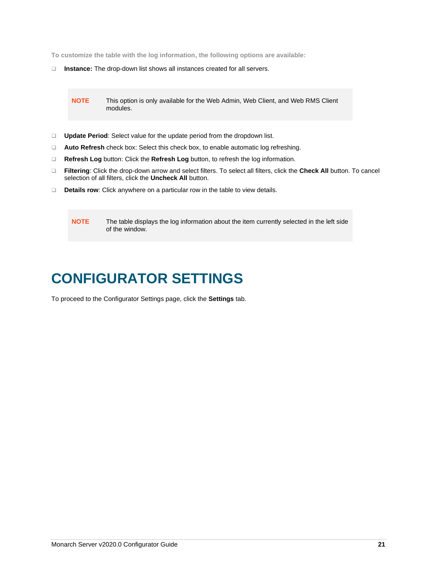**To customize the table with the log information, the following options are available:**

❑ **Instance:** The drop-down list shows all instances created for all servers.

**NOTE** This option is only available for the Web Admin, Web Client, and Web RMS Client modules.

- ❑ **Update Period**: Select value for the update period from the dropdown list.
- ❑ **Auto Refresh** check box: Select this check box, to enable automatic log refreshing.
- ❑ **Refresh Log** button: Click the **Refresh Log** button, to refresh the log information.
- ❑ **Filtering**: Click the drop-down arrow and select filters. To select all filters, click the **Check All** button. To cancel selection of all filters, click the **Uncheck All** button.
- ❑ **Details row**: Click anywhere on a particular row in the table to view details.

**NOTE** The table displays the log information about the item currently selected in the left side of the window.

# <span id="page-22-0"></span>**CONFIGURATOR SETTINGS**

To proceed to the Configurator Settings page, click the **Settings** tab.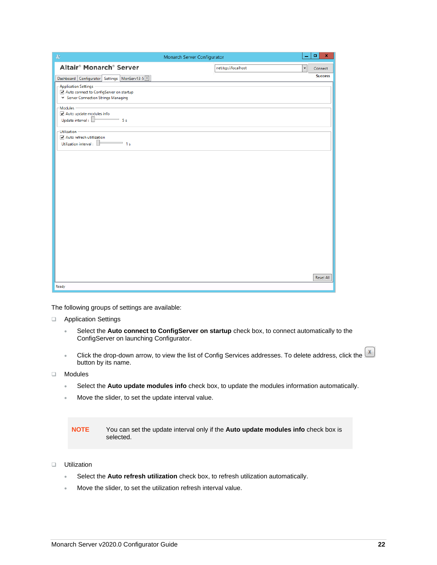| $\oplus$                                                                                                  | Monarch Server Configurator                     | ۰<br>x           |
|-----------------------------------------------------------------------------------------------------------|-------------------------------------------------|------------------|
| Altair <sup>®</sup> Monarch <sup>®</sup> Server                                                           | net.tcp://localhost<br>$\overline{\phantom{a}}$ | Connect          |
| Dashboard   Configurator   Settings   MonServ13-5 X                                                       |                                                 | <b>Success</b>   |
| - Application Settings -<br>Auto connect to ConfigServer on startup<br>Server Connection Strings Managing |                                                 |                  |
| - Modules<br>Auto update modules info<br>Update interval:<br>$\overline{\phantom{1}}$ 5s                  |                                                 |                  |
| - Utilization                                                                                             |                                                 |                  |
| Auto refresh utitlization<br>Utilization interval:<br>$\overline{\phantom{1}}$ 1s                         |                                                 |                  |
|                                                                                                           |                                                 |                  |
|                                                                                                           |                                                 |                  |
|                                                                                                           |                                                 |                  |
|                                                                                                           |                                                 |                  |
|                                                                                                           |                                                 |                  |
|                                                                                                           |                                                 |                  |
|                                                                                                           |                                                 |                  |
|                                                                                                           |                                                 |                  |
|                                                                                                           |                                                 |                  |
|                                                                                                           |                                                 |                  |
|                                                                                                           |                                                 | <b>Reset All</b> |
| Ready                                                                                                     |                                                 |                  |

The following groups of settings are available:

- ❑ Application Settings
	- Select the **Auto connect to ConfigServer on startup** check box, to connect automatically to the ConfigServer on launching Configurator.
	- Click the drop-down arrow, to view the list of Config Services addresses. To delete address, click the  $\boxed{x}$ button by its name.
- ❑ Modules
	- Select the **Auto update modules info** check box, to update the modules information automatically.
	- Move the slider, to set the update interval value.

**NOTE** You can set the update interval only if the **Auto update modules info** check box is selected.

- ❑ Utilization
	- Select the **Auto refresh utilization** check box, to refresh utilization automatically.
	- Move the slider, to set the utilization refresh interval value.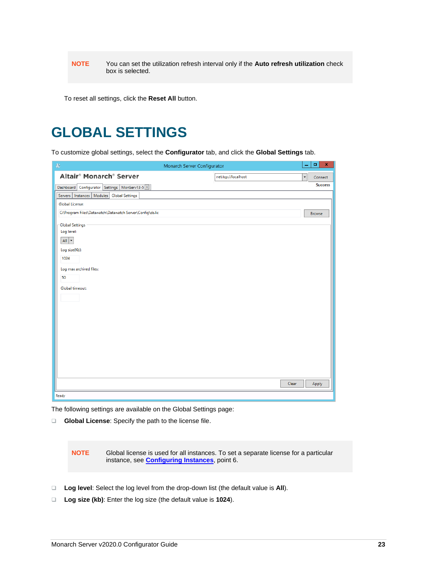**NOTE** You can set the utilization refresh interval only if the **Auto refresh utilization** check box is selected.

To reset all settings, click the **Reset All** button.

### <span id="page-24-0"></span>**GLOBAL SETTINGS**

To customize global settings, select the **Configurator** tab, and click the **Global Settings** tab.

|                                                                                                                                              | Monarch Server Configurator | -                        | $\mathbf x$<br>$\Box$ |
|----------------------------------------------------------------------------------------------------------------------------------------------|-----------------------------|--------------------------|-----------------------|
| Altair <sup>®</sup> Monarch <sup>®</sup> Server                                                                                              | net.tcp://localhost         | $\overline{\phantom{a}}$ | Connect               |
| Dashboard Configurator Settings MonServ13-5 X                                                                                                |                             |                          | <b>Success</b>        |
| Servers   Instances   Modules   Global Settings                                                                                              |                             |                          |                       |
| <b>Global License:</b>                                                                                                                       |                             |                          |                       |
| C:\Program Files\Datawatch\Datawatch Server\Config\ds.lic                                                                                    |                             |                          | <b>Browse</b>         |
| <b>Global Settings</b><br>Log level:<br>All $\vert \cdot \vert$<br>Log size(Kb):<br>1024<br>Log max archived files:<br>50<br>Global timeout: |                             |                          |                       |
|                                                                                                                                              | Clear                       |                          | Apply                 |
| Ready                                                                                                                                        |                             |                          |                       |

The following settings are available on the Global Settings page:

❑ **Global License**: Specify the path to the license file.

**NOTE** Global license is used for all instances. To set a separate license for a particular instance, see **[Configuring](#page-6-0) Instances**, point 6.

- ❑ **Log level**: Select the log level from the drop-down list (the default value is **All**).
- ❑ **Log size (kb)**: Enter the log size (the default value is **1024**).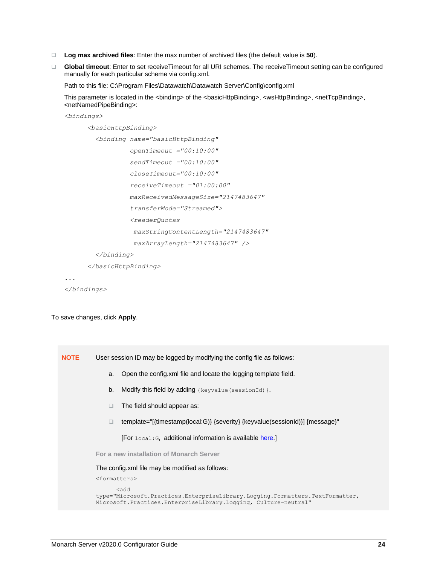- ❑ **Log max archived files**: Enter the max number of archived files (the default value is **50**).
- ❑ **Global timeout**: Enter to set receiveTimeout for all URI schemes. The receiveTimeout setting can be configured manually for each particular scheme via config.xml.

Path to this file: C:\Program Files\Datawatch\Datawatch Server\Config\config.xml

This parameter is located in the <binding> of the <br/>>basicHttpBinding>, <wsHttpBinding>, <netTcpBinding>, <netNamedPipeBinding>:

*<bindings>*

```
 <basicHttpBinding>
   <binding name="basicHttpBinding"
            openTimeout ="00:10:00"
            sendTimeout ="00:10:00"
            closeTimeout="00:10:00"
            receiveTimeout ="01:00:00"
            maxReceivedMessageSize="2147483647"
            transferMode="Streamed">
            <readerQuotas 
             maxStringContentLength="2147483647"
             maxArrayLength="2147483647" />
   </binding>
```
 *</basicHttpBinding>*

*...*

*</bindings>*

To save changes, click **Apply**.

| <b>NOTE</b> | User session ID may be logged by modifying the config file as follows:                                                                                   |
|-------------|----------------------------------------------------------------------------------------------------------------------------------------------------------|
|             | Open the config.xml file and locate the logging template field.<br>a.                                                                                    |
|             | b.<br>Modify this field by adding { $keyvalue$ ( $sessionId$ }.                                                                                          |
|             | The field should appear as:<br>□                                                                                                                         |
|             | template="[{timestamp(local:G)} {severity} {keyvalue(sessionId)}] {message}"                                                                             |
|             | <b>[For</b> local: G, additional information is available here.]                                                                                         |
|             | For a new installation of Monarch Server                                                                                                                 |
|             | The config.xml file may be modified as follows:                                                                                                          |
|             | <formatters></formatters>                                                                                                                                |
|             | kha><br>type="Microsoft.Practices.EnterpriseLibrary.Logging.Formatters.TextFormatter,<br>Microsoft.Practices.EnterpriseLibrary.Logging, Culture=neutral" |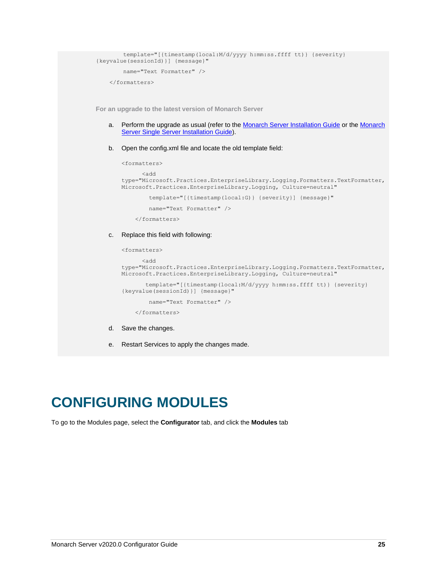```
 template="[{timestamp(local:M/d/yyyy h:mm:ss.ffff tt)} {severity} 
{keyvalue(sessionId)}] {message}"
         name="Text Formatter" />
     </formatters>
```
**For an upgrade to the latest version of Monarch Server**

- a. Perform the upgrade as usual (refer to the [Monarch Server Installation Guide](https://docs.datawatch.com/datawatchserver/seradvins/Monarch_Server_Installation_Guide.pdf) or the Monarch [Server Single Server Installation Guide\)](https://docs.datawatch.com/datawatchserver/sersinserins/Monarch_Server_Single_Server_Installation_Guide.pdf).
- b. Open the config.xml file and locate the old template field:

```
<formatters>
       <add 
type="Microsoft.Practices.EnterpriseLibrary.Logging.Formatters.TextFormatter, 
Microsoft.Practices.EnterpriseLibrary.Logging, Culture=neutral"
         template="[{timestamp(local:G)} {severity}] {message}"
         name="Text Formatter" />
     </formatters>
```
c. Replace this field with following:

```
<formatters>
       <add 
type="Microsoft.Practices.EnterpriseLibrary.Logging.Formatters.TextFormatter, 
Microsoft.Practices.EnterpriseLibrary.Logging, Culture=neutral"
        template="[{timestamp(local:M/d/yyyy h:mm:ss.ffff tt)} {severity} 
{keyvalue(sessionId)}] {message}"
         name="Text Formatter" />
     </formatters>
```
- d. Save the changes.
- e. Restart Services to apply the changes made.

### <span id="page-26-0"></span>**CONFIGURING MODULES**

To go to the Modules page, select the **Configurator** tab, and click the **Modules** tab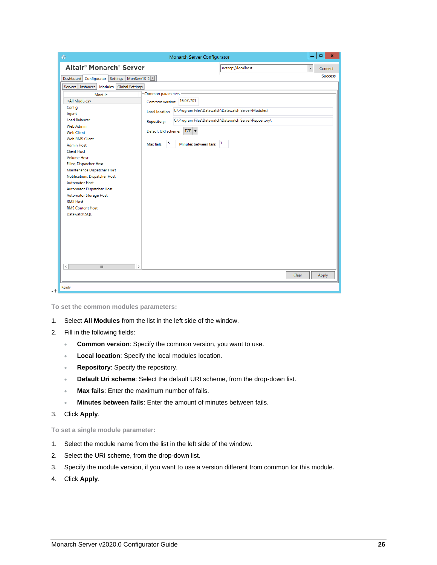| $\Rightarrow$                                                                                                                                                                                                                                                                                                                                                                | Monarch Server Configurator                                                                                                                                                             |                                                                                                                 |       | ۰<br>x         |
|------------------------------------------------------------------------------------------------------------------------------------------------------------------------------------------------------------------------------------------------------------------------------------------------------------------------------------------------------------------------------|-----------------------------------------------------------------------------------------------------------------------------------------------------------------------------------------|-----------------------------------------------------------------------------------------------------------------|-------|----------------|
| Altair <sup>®</sup> Monarch <sup>®</sup> Server                                                                                                                                                                                                                                                                                                                              |                                                                                                                                                                                         | net.tcp://localhost                                                                                             |       | Connect        |
| Dashboard   Configurator   Settings   MonServ13-5 X                                                                                                                                                                                                                                                                                                                          |                                                                                                                                                                                         |                                                                                                                 |       | <b>Success</b> |
| Servers   Instances   Modules   Global Settings                                                                                                                                                                                                                                                                                                                              |                                                                                                                                                                                         |                                                                                                                 |       |                |
| Module<br><all modules=""><br/>Config<br/>Agent<br/><b>Load Balancer</b><br/>Web Admin<br/><b>Web Client</b><br/><b>Web RMS Client</b><br/><b>Admin Host</b><br/><b>Client Host</b><br/><b>Volume Host</b><br/>Filing Dispatcher Host<br/>Maintenance Dispatcher Host<br/>Notifications Dispatcher Host<br/><b>Automator Host</b><br/><b>Automator Dispatcher Host</b></all> | Common parameters<br>Common version: 16.0.0.701<br>Local location:<br>Repository:<br>$TCP$ $\rightarrow$<br>Default URI scheme:<br>$\sqrt{5}$<br>Minutes between fails: 1<br>Max fails: | C:\Program Files\Datawatch\Datawatch Server\Modules\<br>C:\Program Files\Datawatch\Datawatch Server\Repository\ |       |                |
| Automator Storage Host<br><b>RMS Host</b><br><b>RMS Content Host</b><br>Datawatch.SOL<br>$\,<\,$<br>Ш<br>$\rightarrow$                                                                                                                                                                                                                                                       |                                                                                                                                                                                         |                                                                                                                 |       |                |
|                                                                                                                                                                                                                                                                                                                                                                              |                                                                                                                                                                                         |                                                                                                                 | Clear | Apply          |
|                                                                                                                                                                                                                                                                                                                                                                              |                                                                                                                                                                                         |                                                                                                                 |       |                |

**To set the common modules parameters:**

- 1. Select **All Modules** from the list in the left side of the window.
- 2. Fill in the following fields:
	- **Common version**: Specify the common version, you want to use.
	- **Local location**: Specify the local modules location.
	- **Repository**: Specify the repository.
	- **Default Uri scheme**: Select the default URI scheme, from the drop-down list.
	- **Max fails**: Enter the maximum number of fails.
	- **Minutes between fails**: Enter the amount of minutes between fails.
- <span id="page-27-0"></span>3. Click **Apply**.

**To set a single module parameter:**

- 1. Select the module name from the list in the left side of the window.
- 2. Select the URI scheme, from the drop-down list.
- 3. Specify the module version, if you want to use a version different from common for this module.
- 4. Click **Apply**.